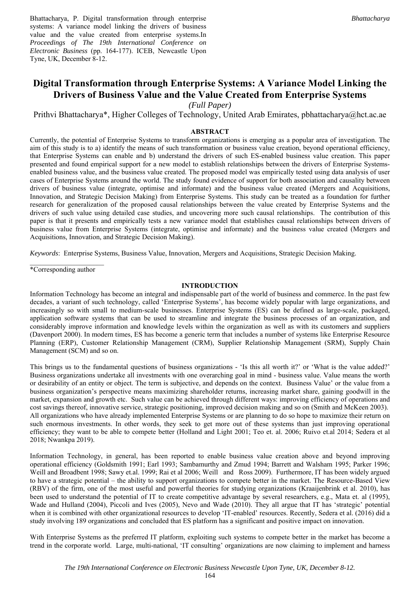Bhattacharya, P. Digital transformation through enterprise systems: A variance model linking the drivers of business value and the value created from enterprise systems.In *Proceedings of The 19th International Conference on Electronic Business* (pp. 164-177). ICEB, Newcastle Upon Tyne, UK, December 8-12.

# **Digital Transformation through Enterprise Systems: A Variance Model Linking the Drivers of Business Value and the Value Created from Enterprise Systems**

*(Full Paper)* 

Prithvi Bhattacharya\*, Higher Colleges of Technology, United Arab Emirates, pbhattacharya@hct.ac.ae

#### **ABSTRACT**

Currently, the potential of Enterprise Systems to transform organizations is emerging as a popular area of investigation. The aim of this study is to a) identify the means of such transformation or business value creation, beyond operational efficiency, that Enterprise Systems can enable and b) understand the drivers of such ES-enabled business value creation. This paper presented and found empirical support for a new model to establish relationships between the drivers of Enterprise Systemsenabled business value, and the business value created. The proposed model was empirically tested using data analysis of user cases of Enterprise Systems around the world. The study found evidence of support for both association and causality between drivers of business value (integrate, optimise and informate) and the business value created (Mergers and Acquisitions, Innovation, and Strategic Decision Making) from Enterprise Systems. This study can be treated as a foundation for further research for generalization of the proposed causal relationships between the value created by Enterprise Systems and the drivers of such value using detailed case studies, and uncovering more such causal relationships. The contribution of this paper is that it presents and empirically tests a new variance model that establishes causal relationships between drivers of business value from Enterprise Systems (integrate, optimise and informate) and the business value created (Mergers and Acquisitions, Innovation, and Strategic Decision Making).

*Keywords*: Enterprise Systems, Business Value, Innovation, Mergers and Acquisitions, Strategic Decision Making.

\*Corresponding author

#### **INTRODUCTION**

Information Technology has become an integral and indispensable part of the world of business and commerce. In the past few decades, a variant of such technology, called 'Enterprise Systems', has become widely popular with large organizations, and increasingly so with small to medium-scale businesses. Enterprise Systems (ES) can be defined as large-scale, packaged, application software systems that can be used to streamline and integrate the business processes of an organization, and considerably improve information and knowledge levels within the organization as well as with its customers and suppliers (Davenport 2000). In modern times, ES has become a generic term that includes a number of systems like Enterprise Resource Planning (ERP), Customer Relationship Management (CRM), Supplier Relationship Management (SRM), Supply Chain Management (SCM) and so on.

This brings us to the fundamental questions of business organizations - 'Is this all worth it?' or 'What is the value added?' Business organizations undertake all investments with one overarching goal in mind - business value. Value means the worth or desirability of an entity or object. The term is subjective, and depends on the context. Business Value' or the value from a business organization's perspective means maximizing shareholder returns, increasing market share, gaining goodwill in the market, expansion and growth etc. Such value can be achieved through different ways: improving efficiency of operations and cost savings thereof, innovative service, strategic positioning, improved decision making and so on (Smith and McKeen 2003). All organizations who have already implemented Enterprise Systems or are planning to do so hope to maximize their return on such enormous investments. In other words, they seek to get more out of these systems than just improving operational efficiency; they want to be able to compete better (Holland and Light 2001; Teo et. al. 2006; Ruivo et.al 2014; Sedera et al 2018; Nwankpa 2019).

Information Technology, in general, has been reported to enable business value creation above and beyond improving operational efficiency (Goldsmith 1991; Earl 1993; Sambamurthy and Zmud 1994; Barrett and Walsham 1995; Parker 1996; Weill and Broadbent 1998; Sawy et.al. 1999; Rai et al 2006; Weill and Ross 2009). Furthermore, IT has been widely argued to have a strategic potential – the ability to support organizations to compete better in the market. The Resource-Based View (RBV) of the firm, one of the most useful and powerful theories for studying organizations (Kraaijenbrink et al. 2010), has been used to understand the potential of IT to create competitive advantage by several researchers, e.g., Mata et. al (1995), Wade and Hulland (2004), Piccoli and Ives (2005), Nevo and Wade (2010). They all argue that IT has 'strategic' potential when it is combined with other organizational resources to develop 'IT-enabled' resources. Recently, Sedera et al. (2016) did a study involving 189 organizations and concluded that ES platform has a significant and positive impact on innovation.

With Enterprise Systems as the preferred IT platform, exploiting such systems to compete better in the market has become a trend in the corporate world. Large, multi-national, 'IT consulting' organizations are now claiming to implement and harness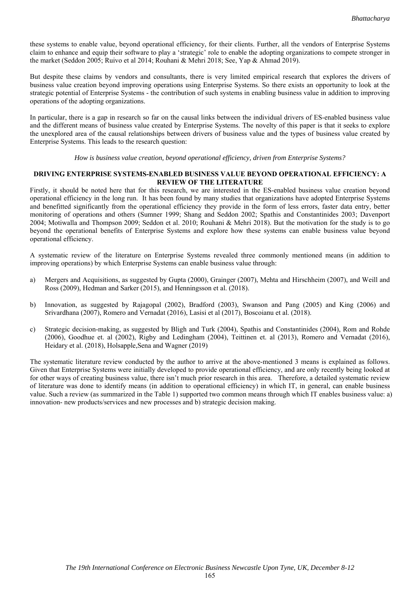these systems to enable value, beyond operational efficiency, for their clients. Further, all the vendors of Enterprise Systems claim to enhance and equip their software to play a 'strategic' role to enable the adopting organizations to compete stronger in the market (Seddon 2005; Ruivo et al 2014; Rouhani & Mehri 2018; See, Yap & Ahmad 2019).

But despite these claims by vendors and consultants, there is very limited empirical research that explores the drivers of business value creation beyond improving operations using Enterprise Systems. So there exists an opportunity to look at the strategic potential of Enterprise Systems - the contribution of such systems in enabling business value in addition to improving operations of the adopting organizations.

In particular, there is a gap in research so far on the causal links between the individual drivers of ES-enabled business value and the different means of business value created by Enterprise Systems. The novelty of this paper is that it seeks to explore the unexplored area of the causal relationships between drivers of business value and the types of business value created by Enterprise Systems. This leads to the research question:

*How is business value creation, beyond operational efficiency, driven from Enterprise Systems?* 

#### **DRIVING ENTERPRISE SYSTEMS-ENABLED BUSINESS VALUE BEYOND OPERATIONAL EFFICIENCY: A REVIEW OF THE LITERATURE**

Firstly, it should be noted here that for this research, we are interested in the ES-enabled business value creation beyond operational efficiency in the long run. It has been found by many studies that organizations have adopted Enterprise Systems and benefitted significantly from the operational efficiency they provide in the form of less errors, faster data entry, better monitoring of operations and others (Sumner 1999; Shang and Seddon 2002; Spathis and Constantinides 2003; Davenport 2004; Motiwalla and Thompson 2009; Seddon et al. 2010; Rouhani & Mehri 2018). But the motivation for the study is to go beyond the operational benefits of Enterprise Systems and explore how these systems can enable business value beyond operational efficiency.

A systematic review of the literature on Enterprise Systems revealed three commonly mentioned means (in addition to improving operations) by which Enterprise Systems can enable business value through:

- a) Mergers and Acquisitions, as suggested by Gupta (2000), Grainger (2007), Mehta and Hirschheim (2007), and Weill and Ross (2009), Hedman and Sarker (2015), and Henningsson et al. (2018).
- b) Innovation, as suggested by Rajagopal (2002), Bradford (2003), Swanson and Pang (2005) and King (2006) and Srivardhana (2007), Romero and Vernadat (2016), Lasisi et al (2017), Boscoianu et al. (2018).
- c) Strategic decision-making, as suggested by Bligh and Turk (2004), Spathis and Constantinides (2004), Rom and Rohde (2006), Goodhue et. al (2002), Rigby and Ledingham (2004), Teittinen et. al (2013), Romero and Vernadat (2016), Heidary et al. (2018), Holsapple,Sena and Wagner (2019)

The systematic literature review conducted by the author to arrive at the above-mentioned 3 means is explained as follows. Given that Enterprise Systems were initially developed to provide operational efficiency, and are only recently being looked at for other ways of creating business value, there isn't much prior research in this area. Therefore, a detailed systematic review of literature was done to identify means (in addition to operational efficiency) in which IT, in general, can enable business value. Such a review (as summarized in the Table 1) supported two common means through which IT enables business value: a) innovation- new products/services and new processes and b) strategic decision making.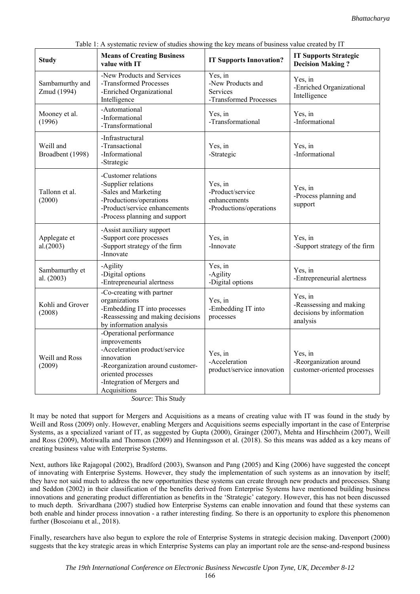| <b>Study</b>                   | <b>Means of Creating Business</b><br>value with IT                                                                                                                                                                                                                                                 | <b>IT Supports Innovation?</b>                                            | <b>IT Supports Strategic</b><br><b>Decision Making?</b>                    |
|--------------------------------|----------------------------------------------------------------------------------------------------------------------------------------------------------------------------------------------------------------------------------------------------------------------------------------------------|---------------------------------------------------------------------------|----------------------------------------------------------------------------|
| Sambamurthy and<br>Zmud (1994) | -New Products and Services<br>-Transformed Processes<br>-Enriched Organizational<br>Intelligence                                                                                                                                                                                                   | Yes, in<br>-New Products and<br><b>Services</b><br>-Transformed Processes | Yes, in<br>-Enriched Organizational<br>Intelligence                        |
| Mooney et al.<br>(1996)        | -Automational<br>-Informational<br>-Transformational                                                                                                                                                                                                                                               | Yes, in<br>-Transformational                                              | Yes, in<br>-Informational                                                  |
| Weill and<br>Broadbent (1998)  | -Infrastructural<br>-Transactional<br>-Informational<br>-Strategic                                                                                                                                                                                                                                 | Yes, in<br>-Strategic                                                     | Yes, in<br>-Informational                                                  |
| Tallonn et al.<br>(2000)       | -Customer relations<br>-Supplier relations<br>-Sales and Marketing<br>-Productions/operations<br>-Product/service enhancements<br>-Process planning and support                                                                                                                                    | Yes, in<br>-Product/service<br>enhancements<br>-Productions/operations    | Yes, in<br>-Process planning and<br>support                                |
| Applegate et<br>al.(2003)      | -Assist auxiliary support<br>-Support core processes<br>-Support strategy of the firm<br>-Innovate                                                                                                                                                                                                 | Yes, in<br>-Innovate                                                      | Yes, in<br>-Support strategy of the firm                                   |
| Sambamurthy et<br>al. (2003)   | -Agility<br>-Digital options<br>-Entrepreneurial alertness                                                                                                                                                                                                                                         | Yes, in<br>-Agility<br>-Digital options                                   | Yes, in<br>-Entrepreneurial alertness                                      |
| Kohli and Grover<br>(2008)     | -Co-creating with partner<br>organizations<br>-Embedding IT into processes<br>-Reassessing and making decisions<br>by information analysis                                                                                                                                                         | Yes, in<br>-Embedding IT into<br>processes                                | Yes, in<br>-Reassessing and making<br>decisions by information<br>analysis |
| Weill and Ross<br>(2009)       | -Operational performance<br>improvements<br>-Acceleration product/service<br>innovation<br>-Reorganization around customer-<br>oriented processes<br>-Integration of Mergers and<br>Acquisitions<br>$C_{\text{c}}$ and $C_{\text{c}}$ are The $C_{\text{c}}$ and $C_{\text{c}}$ and $C_{\text{c}}$ | Yes, in<br>-Acceleration<br>product/service innovation                    | Yes, in<br>-Reorganization around<br>customer-oriented processes           |

Table 1: A systematic review of studies showing the key means of business value created by IT

*Source*: This Study

It may be noted that support for Mergers and Acquisitions as a means of creating value with IT was found in the study by Weill and Ross (2009) only. However, enabling Mergers and Acquisitions seems especially important in the case of Enterprise Systems, as a specialized variant of IT, as suggested by Gupta (2000), Grainger (2007), Mehta and Hirschheim (2007), Weill and Ross (2009), Motiwalla and Thomson (2009) and Henningsson et al. (2018). So this means was added as a key means of creating business value with Enterprise Systems.

Next, authors like Rajagopal (2002), Bradford (2003), Swanson and Pang (2005) and King (2006) have suggested the concept of innovating with Enterprise Systems. However, they study the implementation of such systems as an innovation by itself; they have not said much to address the new opportunities these systems can create through new products and processes. Shang and Seddon (2002) in their classification of the benefits derived from Enterprise Systems have mentioned building business innovations and generating product differentiation as benefits in the 'Strategic' category. However, this has not been discussed to much depth. Srivardhana (2007) studied how Enterprise Systems can enable innovation and found that these systems can both enable and hinder process innovation - a rather interesting finding. So there is an opportunity to explore this phenomenon further (Boscoianu et al., 2018).

Finally, researchers have also begun to explore the role of Enterprise Systems in strategic decision making. Davenport (2000) suggests that the key strategic areas in which Enterprise Systems can play an important role are the sense-and-respond business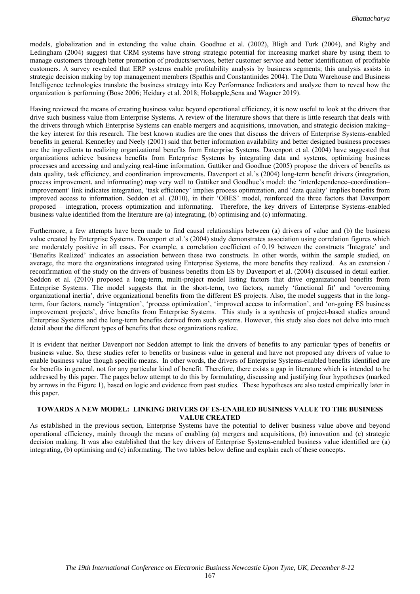models, globalization and in extending the value chain. Goodhue et al. (2002), Bligh and Turk (2004), and Rigby and Ledingham (2004) suggest that CRM systems have strong strategic potential for increasing market share by using them to manage customers through better promotion of products/services, better customer service and better identification of profitable customers. A survey revealed that ERP systems enable profitability analysis by business segments; this analysis assists in strategic decision making by top management members (Spathis and Constantinides 2004). The Data Warehouse and Business Intelligence technologies translate the business strategy into Key Performance Indicators and analyze them to reveal how the organization is performing (Bose 2006; Heidary et al. 2018; Holsapple,Sena and Wagner 2019).

Having reviewed the means of creating business value beyond operational efficiency, it is now useful to look at the drivers that drive such business value from Enterprise Systems. A review of the literature shows that there is little research that deals with the drivers through which Enterprise Systems can enable mergers and acquisitions, innovation, and strategic decision making– the key interest for this research. The best known studies are the ones that discuss the drivers of Enterprise Systems-enabled benefits in general. Kennerley and Neely (2001) said that better information availability and better designed business processes are the ingredients to realizing organizational benefits from Enterprise Systems. Davenport et al. (2004) have suggested that organizations achieve business benefits from Enterprise Systems by integrating data and systems, optimizing business processes and accessing and analyzing real-time information. Gattiker and Goodhue (2005) propose the drivers of benefits as data quality, task efficiency, and coordination improvements. Davenport et al.'s (2004) long-term benefit drivers (integration, process improvement, and informating) map very well to Gattiker and Goodhue's model: the 'interdependence–coordination– improvement' link indicates integration, 'task efficiency' implies process optimization, and 'data quality' implies benefits from improved access to information. Seddon et al. (2010), in their 'OBES' model, reinforced the three factors that Davenport proposed – integration, process optimization and informating. Therefore, the key drivers of Enterprise Systems-enabled business value identified from the literature are (a) integrating, (b) optimising and (c) informating.

Furthermore, a few attempts have been made to find causal relationships between (a) drivers of value and (b) the business value created by Enterprise Systems. Davenport et al.'s (2004) study demonstrates association using correlation figures which are moderately positive in all cases. For example, a correlation coefficient of 0.19 between the constructs 'Integrate' and 'Benefits Realized' indicates an association between these two constructs. In other words, within the sample studied, on average, the more the organizations integrated using Enterprise Systems, the more benefits they realized. As an extension / reconfirmation of the study on the drivers of business benefits from ES by Davenport et al. (2004) discussed in detail earlier. Seddon et al. (2010) proposed a long-term, multi-project model listing factors that drive organizational benefits from Enterprise Systems. The model suggests that in the short-term, two factors, namely 'functional fit' and 'overcoming organizational inertia', drive organizational benefits from the different ES projects. Also, the model suggests that in the longterm, four factors, namely 'integration', 'process optimization', 'improved access to information', and 'on-going ES business improvement projects', drive benefits from Enterprise Systems. This study is a synthesis of project-based studies around Enterprise Systems and the long-term benefits derived from such systems. However, this study also does not delve into much detail about the different types of benefits that these organizations realize.

It is evident that neither Davenport nor Seddon attempt to link the drivers of benefits to any particular types of benefits or business value. So, these studies refer to benefits or business value in general and have not proposed any drivers of value to enable business value though specific means. In other words, the drivers of Enterprise Systems-enabled benefits identified are for benefits in general, not for any particular kind of benefit. Therefore, there exists a gap in literature which is intended to be addressed by this paper. The pages below attempt to do this by formulating, discussing and justifying four hypotheses (marked by arrows in the Figure 1), based on logic and evidence from past studies. These hypotheses are also tested empirically later in this paper.

#### **TOWARDS A NEW MODEL: LINKING DRIVERS OF ES-ENABLED BUSINESS VALUE TO THE BUSINESS VALUE CREATED**

As established in the previous section, Enterprise Systems have the potential to deliver business value above and beyond operational efficiency, mainly through the means of enabling (a) mergers and acquisitions, (b) innovation and (c) strategic decision making. It was also established that the key drivers of Enterprise Systems-enabled business value identified are (a) integrating, (b) optimising and (c) informating. The two tables below define and explain each of these concepts.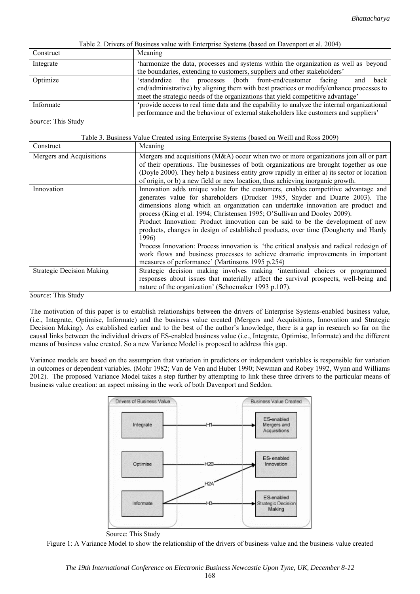| Twore 2. Directo of Dustiness value with Enterprise 5 yearing (bused on Duvemport of all 200 ) |                                                                                             |  |  |  |  |
|------------------------------------------------------------------------------------------------|---------------------------------------------------------------------------------------------|--|--|--|--|
| Construct                                                                                      | Meaning                                                                                     |  |  |  |  |
| Integrate                                                                                      | 'harmonize the data, processes and systems within the organization as well as beyond        |  |  |  |  |
|                                                                                                | the boundaries, extending to customers, suppliers and other stakeholders'                   |  |  |  |  |
| Optimize                                                                                       | the processes (both front-end/customer facing<br>and back<br>'standardize                   |  |  |  |  |
|                                                                                                | end/administrative) by aligning them with best practices or modify/enhance processes to     |  |  |  |  |
|                                                                                                | meet the strategic needs of the organizations that yield competitive advantage'             |  |  |  |  |
| Informate                                                                                      | 'provide access to real time data and the capability to analyze the internal organizational |  |  |  |  |
|                                                                                                | performance and the behaviour of external stakeholders like customers and suppliers'        |  |  |  |  |

Table 2. Drivers of Business value with Enterprise Systems (based on Davenport et al. 2004)

*Source*: This Study

|  | Table 3. Business Value Created using Enterprise Systems (based on Weill and Ross 2009) |  |
|--|-----------------------------------------------------------------------------------------|--|
|  |                                                                                         |  |

| Construct                        | Meaning                                                                                                                                                                                                                                                                                                                                                                                                                                                                                                                                                                                                                                                                                                                                                 |
|----------------------------------|---------------------------------------------------------------------------------------------------------------------------------------------------------------------------------------------------------------------------------------------------------------------------------------------------------------------------------------------------------------------------------------------------------------------------------------------------------------------------------------------------------------------------------------------------------------------------------------------------------------------------------------------------------------------------------------------------------------------------------------------------------|
| Mergers and Acquisitions         | Mergers and acquisitions (M&A) occur when two or more organizations join all or part<br>of their operations. The businesses of both organizations are brought together as one<br>(Doyle 2000). They help a business entity grow rapidly in either a) its sector or location<br>of origin, or b) a new field or new location, thus achieving inorganic growth.                                                                                                                                                                                                                                                                                                                                                                                           |
| Innovation                       | Innovation adds unique value for the customers, enables competitive advantage and<br>generates value for shareholders (Drucker 1985, Snyder and Duarte 2003). The<br>dimensions along which an organization can undertake innovation are product and<br>process (King et al. 1994; Christensen 1995; O'Sullivan and Dooley 2009).<br>Product Innovation: Product innovation can be said to be the development of new<br>products, changes in design of established products, over time (Dougherty and Hardy<br>1996)<br>Process Innovation: Process innovation is 'the critical analysis and radical redesign of<br>work flows and business processes to achieve dramatic improvements in important<br>measures of performance' (Martinsons 1995 p.254) |
| <b>Strategic Decision Making</b> | Strategic decision making involves making 'intentional choices or programmed<br>responses about issues that materially affect the survival prospects, well-being and<br>nature of the organization' (Schoemaker 1993 p.107).                                                                                                                                                                                                                                                                                                                                                                                                                                                                                                                            |

*Source*: This Study

The motivation of this paper is to establish relationships between the drivers of Enterprise Systems-enabled business value, (i.e., Integrate, Optimise, Informate) and the business value created (Mergers and Acquisitions, Innovation and Strategic Decision Making). As established earlier and to the best of the author's knowledge, there is a gap in research so far on the causal links between the individual drivers of ES-enabled business value (i.e., Integrate, Optimise, Informate) and the different means of business value created. So a new Variance Model is proposed to address this gap.

Variance models are based on the assumption that variation in predictors or independent variables is responsible for variation in outcomes or dependent variables. (Mohr 1982; Van de Ven and Huber 1990; Newman and Robey 1992, Wynn and Williams 2012). The proposed Variance Model takes a step further by attempting to link these three drivers to the particular means of business value creation: an aspect missing in the work of both Davenport and Seddon.



Source: This Study

Figure 1: A Variance Model to show the relationship of the drivers of business value and the business value created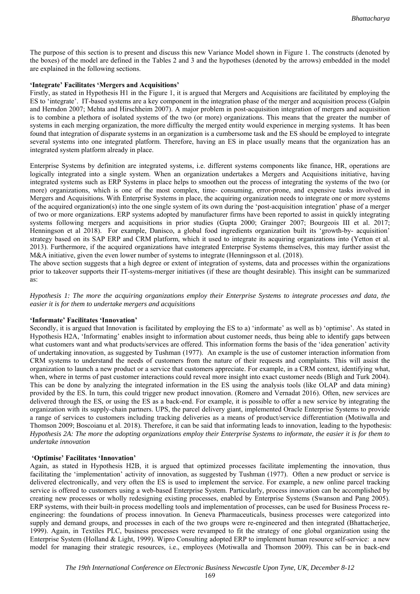The purpose of this section is to present and discuss this new Variance Model shown in Figure 1. The constructs (denoted by the boxes) of the model are defined in the Tables 2 and 3 and the hypotheses (denoted by the arrows) embedded in the model are explained in the following sections.

#### **'Integrate' Facilitates 'Mergers and Acquisitions'**

Firstly, as stated in Hypothesis H1 in the Figure 1, it is argued that Mergers and Acquisitions are facilitated by employing the ES to 'integrate'. IT-based systems are a key component in the integration phase of the merger and acquisition process (Galpin and Herndon 2007; Mehta and Hirschheim 2007). A major problem in post-acquisition integration of mergers and acquisition is to combine a plethora of isolated systems of the two (or more) organizations. This means that the greater the number of systems in each merging organization, the more difficulty the merged entity would experience in merging systems. It has been found that integration of disparate systems in an organization is a cumbersome task and the ES should be employed to integrate several systems into one integrated platform. Therefore, having an ES in place usually means that the organization has an integrated system platform already in place.

Enterprise Systems by definition are integrated systems, i.e. different systems components like finance, HR, operations are logically integrated into a single system. When an organization undertakes a Mergers and Acquisitions initiative, having integrated systems such as ERP Systems in place helps to smoothen out the process of integrating the systems of the two (or more) organizations, which is one of the most complex, time- consuming, error-prone, and expensive tasks involved in Mergers and Acquisitions. With Enterprise Systems in place, the acquiring organization needs to integrate one or more systems of the acquired organization(s) into the one single system of its own during the 'post-acquisition integration' phase of a merger of two or more organizations. ERP systems adopted by manufacturer firms have been reported to assist in quickly integrating systems following mergers and acquisitions in prior studies (Gupta 2000; Grainger 2007; Bourgeois III et al. 2017; Henningson et al 2018). For example, Danisco, a global food ingredients organization built its 'growth-by- acquisition' strategy based on its SAP ERP and CRM platform, which it used to integrate its acquiring organizations into (Yetton et al. 2013). Furthermore, if the acquired organizations have integrated Enterprise Systems themselves, this may further assist the M&A initiative, given the even lower number of systems to integrate (Henningsson et al. (2018).

The above section suggests that a high degree or extent of integration of systems, data and processes within the organizations prior to takeover supports their IT-systems-merger initiatives (if these are thought desirable). This insight can be summarized as:

*Hypothesis 1: The more the acquiring organizations employ their Enterprise Systems to integrate processes and data, the easier it is for them to undertake mergers and acquisitions* 

#### **'Informate' Facilitates 'Innovation'**

Secondly, it is argued that Innovation is facilitated by employing the ES to a) 'informate' as well as b) 'optimise'. As stated in Hypothesis H2A, 'Informating' enables insight to information about customer needs, thus being able to identify gaps between what customers want and what products/services are offered. This information forms the basis of the 'idea generation' activity of undertaking innovation, as suggested by Tushman (1977). An example is the use of customer interaction information from CRM systems to understand the needs of customers from the nature of their requests and complaints. This will assist the organization to launch a new product or a service that customers appreciate. For example, in a CRM context, identifying what, when, where in terms of past customer interactions could reveal more insight into exact customer needs (Bligh and Turk 2004). This can be done by analyzing the integrated information in the ES using the analysis tools (like OLAP and data mining) provided by the ES. In turn, this could trigger new product innovation. (Romero and Vernadat 2016). Often, new services are delivered through the ES, or using the ES as a back-end. For example, it is possible to offer a new service by integrating the organization with its supply-chain partners. UPS, the parcel delivery giant, implemented Oracle Enterprise Systems to provide a range of services to customers including tracking deliveries as a means of product/service differentiation (Motiwalla and Thomson 2009; Boscoianu et al. 2018). Therefore, it can be said that informating leads to innovation, leading to the hypothesis: *Hypothesis 2A: The more the adopting organizations employ their Enterprise Systems to informate, the easier it is for them to undertake innovation* 

#### **'Optimise' Facilitates 'Innovation'**

Again, as stated in Hypothesis H2B, it is argued that optimized processes facilitate implementing the innovation, thus facilitating the 'implementation' activity of innovation, as suggested by Tushman (1977). Often a new product or service is delivered electronically, and very often the ES is used to implement the service. For example, a new online parcel tracking service is offered to customers using a web-based Enterprise System. Particularly, process innovation can be accomplished by creating new processes or wholly redesigning existing processes, enabled by Enterprise Systems (Swanson and Pang 2005). ERP systems, with their built-in process modelling tools and implementation of processes, can be used for Business Process reengineering: the foundations of process innovation. In Geneva Pharmaceuticals, business processes were categorized into supply and demand groups, and processes in each of the two groups were re-engineered and then integrated (Bhattacherjee, 1999). Again, in Textiles PLC, business processes were revamped to fit the strategy of one global organization using the Enterprise System (Holland & Light, 1999). Wipro Consulting adopted ERP to implement human resource self-service: a new model for managing their strategic resources, i.e., employees (Motiwalla and Thomson 2009). This can be in back-end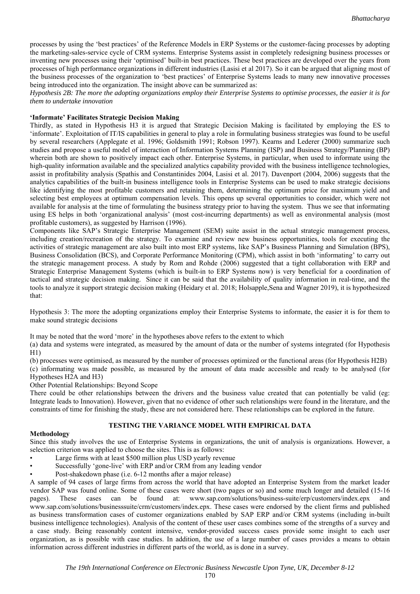processes by using the 'best practices' of the Reference Models in ERP Systems or the customer-facing processes by adopting the marketing-sales-service cycle of CRM systems. Enterprise Systems assist in completely redesigning business processes or inventing new processes using their 'optimised' built-in best practices. These best practices are developed over the years from processes of high performance organizations in different industries (Lasisi et al 2017). So it can be argued that aligning most of the business processes of the organization to 'best practices' of Enterprise Systems leads to many new innovative processes being introduced into the organization. The insight above can be summarized as:

*Hypothesis 2B: The more the adopting organizations employ their Enterprise Systems to optimise processes, the easier it is for them to undertake innovation* 

#### **'Informate' Facilitates Strategic Decision Making**

Thirdly, as stated in Hypothesis H3 it is argued that Strategic Decision Making is facilitated by employing the ES to 'informate'. Exploitation of IT/IS capabilities in general to play a role in formulating business strategies was found to be useful by several researchers (Applegate et al. 1996; Goldsmith 1991; Robson 1997). Kearns and Lederer (2000) summarize such studies and propose a useful model of interaction of Information Systems Planning (ISP) and Business Strategy/Planning (BP) wherein both are shown to positively impact each other. Enterprise Systems, in particular, when used to informate using the high-quality information available and the specialized analytics capability provided with the business intelligence technologies, assist in profitability analysis (Spathis and Constantinides 2004, Lasisi et al. 2017). Davenport (2004, 2006) suggests that the analytics capabilities of the built-in business intelligence tools in Enterprise Systems can be used to make strategic decisions like identifying the most profitable customers and retaining them, determining the optimum price for maximum yield and selecting best employees at optimum compensation levels. This opens up several opportunities to consider, which were not available for analysis at the time of formulating the business strategy prior to having the system. Thus we see that informating using ES helps in both 'organizational analysis' (most cost-incurring departments) as well as environmental analysis (most profitable customers), as suggested by Harrison (1996).

Components like SAP's Strategic Enterprise Management (SEM) suite assist in the actual strategic management process, including creation/recreation of the strategy. To examine and review new business opportunities, tools for executing the activities of strategic management are also built into most ERP systems, like SAP's Business Planning and Simulation (BPS), Business Consolidation (BCS), and Corporate Performance Monitoring (CPM), which assist in both 'informating' to carry out the strategic management process. A study by Rom and Rohde (2006) suggested that a tight collaboration with ERP and Strategic Enterprise Management Systems (which is built-in to ERP Systems now) is very beneficial for a coordination of tactical and strategic decision making. Since it can be said that the availability of quality information in real-time, and the tools to analyze it support strategic decision making (Heidary et al. 2018; Holsapple,Sena and Wagner 2019), it is hypothesized that:

Hypothesis 3: The more the adopting organizations employ their Enterprise Systems to informate, the easier it is for them to make sound strategic decisions

It may be noted that the word 'more' in the hypotheses above refers to the extent to which

(a) data and systems were integrated, as measured by the amount of data or the number of systems integrated (for Hypothesis  $H1$ 

(b) processes were optimised, as measured by the number of processes optimized or the functional areas (for Hypothesis H2B) (c) informating was made possible, as measured by the amount of data made accessible and ready to be analysed (for

Hypotheses H2A and H3)

Other Potential Relationships: Beyond Scope

There could be other relationships between the drivers and the business value created that can potentially be valid (eg: Integrate leads to Innovation). However, given that no evidence of other such relationships were found in the literature, and the constraints of time for finishing the study, these are not considered here. These relationships can be explored in the future.

## **TESTING THE VARIANCE MODEL WITH EMPIRICAL DATA**

#### **Methodology**

Since this study involves the use of Enterprise Systems in organizations, the unit of analysis is organizations. However, a selection criterion was applied to choose the sites. This is as follows:

- Large firms with at least \$500 million plus USD yearly revenue
- Successfully 'gone-live' with ERP and/or CRM from any leading vendor
- Post-shakedown phase (i.e. 6-12 months after a major release)

A sample of 94 cases of large firms from across the world that have adopted an Enterprise System from the market leader vendor SAP was found online. Some of these cases were short (two pages or so) and some much longer and detailed (15-16 pages). These cases can be found at: www.sap.com/solutions/business-suite/erp/customers/index.epx and www.sap.com/solutions/businesssuite/crm/customers/index.epx. These cases were endorsed by the client firms and published as business transformation cases of customer organizations enabled by SAP ERP and/or CRM systems (including in-built business intelligence technologies). Analysis of the content of these user cases combines some of the strengths of a survey and a case study. Being reasonably content intensive, vendor-provided success cases provide some insight to each user organization, as is possible with case studies. In addition, the use of a large number of cases provides a means to obtain information across different industries in different parts of the world, as is done in a survey.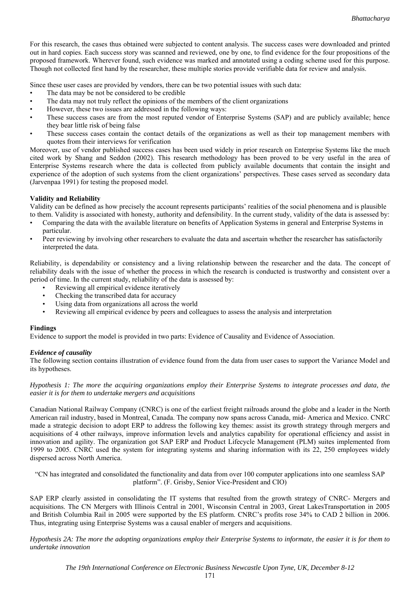For this research, the cases thus obtained were subjected to content analysis. The success cases were downloaded and printed out in hard copies. Each success story was scanned and reviewed, one by one, to find evidence for the four propositions of the proposed framework. Wherever found, such evidence was marked and annotated using a coding scheme used for this purpose. Though not collected first hand by the researcher, these multiple stories provide verifiable data for review and analysis.

Since these user cases are provided by vendors, there can be two potential issues with such data:

- The data may be not be considered to be credible
- The data may not truly reflect the opinions of the members of the client organizations
- However, these two issues are addressed in the following ways:
- These success cases are from the most reputed vendor of Enterprise Systems (SAP) and are publicly available; hence they bear little risk of being false
- These success cases contain the contact details of the organizations as well as their top management members with quotes from their interviews for verification

Moreover, use of vendor published success cases has been used widely in prior research on Enterprise Systems like the much cited work by Shang and Seddon (2002). This research methodology has been proved to be very useful in the area of Enterprise Systems research where the data is collected from publicly available documents that contain the insight and experience of the adoption of such systems from the client organizations' perspectives. These cases served as secondary data (Jarvenpaa 1991) for testing the proposed model.

### **Validity and Reliability**

Validity can be defined as how precisely the account represents participants' realities of the social phenomena and is plausible to them. Validity is associated with honesty, authority and defensibility. In the current study, validity of the data is assessed by:

- Comparing the data with the available literature on benefits of Application Systems in general and Enterprise Systems in particular.
- Peer reviewing by involving other researchers to evaluate the data and ascertain whether the researcher has satisfactorily interpreted the data.

Reliability, is dependability or consistency and a living relationship between the researcher and the data. The concept of reliability deals with the issue of whether the process in which the research is conducted is trustworthy and consistent over a period of time. In the current study, reliability of the data is assessed by:

- Reviewing all empirical evidence iteratively
- Checking the transcribed data for accuracy
- Using data from organizations all across the world
- Reviewing all empirical evidence by peers and colleagues to assess the analysis and interpretation

#### **Findings**

Evidence to support the model is provided in two parts: Evidence of Causality and Evidence of Association.

## *Evidence of causality*

The following section contains illustration of evidence found from the data from user cases to support the Variance Model and its hypotheses.

#### *Hypothesis 1: The more the acquiring organizations employ their Enterprise Systems to integrate processes and data, the easier it is for them to undertake mergers and acquisitions*

Canadian National Railway Company (CNRC) is one of the earliest freight railroads around the globe and a leader in the North American rail industry, based in Montreal, Canada. The company now spans across Canada, mid- America and Mexico. CNRC made a strategic decision to adopt ERP to address the following key themes: assist its growth strategy through mergers and acquisitions of 4 other railways, improve information levels and analytics capability for operational efficiency and assist in innovation and agility. The organization got SAP ERP and Product Lifecycle Management (PLM) suites implemented from 1999 to 2005. CNRC used the system for integrating systems and sharing information with its 22, 250 employees widely dispersed across North America.

"CN has integrated and consolidated the functionality and data from over 100 computer applications into one seamless SAP platform". (F. Grisby, Senior Vice-President and CIO)

SAP ERP clearly assisted in consolidating the IT systems that resulted from the growth strategy of CNRC- Mergers and acquisitions. The CN Mergers with Illinois Central in 2001, Wisconsin Central in 2003, Great LakesTransportation in 2005 and British Columbia Rail in 2005 were supported by the ES platform. CNRC's profits rose 34% to CAD 2 billion in 2006. Thus, integrating using Enterprise Systems was a causal enabler of mergers and acquisitions.

*Hypothesis 2A: The more the adopting organizations employ their Enterprise Systems to informate, the easier it is for them to undertake innovation*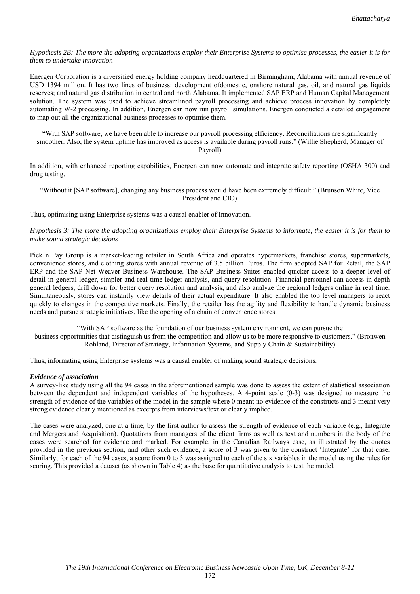*Hypothesis 2B: The more the adopting organizations employ their Enterprise Systems to optimise processes, the easier it is for them to undertake innovation* 

Energen Corporation is a diversified energy holding company headquartered in Birmingham, Alabama with annual revenue of USD 1394 million. It has two lines of business: development ofdomestic, onshore natural gas, oil, and natural gas liquids reserves; and natural gas distribution in central and north Alabama. It implemented SAP ERP and Human Capital Management solution. The system was used to achieve streamlined payroll processing and achieve process innovation by completely automating W-2 processing. In addition, Energen can now run payroll simulations. Energen conducted a detailed engagement to map out all the organizational business processes to optimise them.

"With SAP software, we have been able to increase our payroll processing efficiency. Reconciliations are significantly smoother. Also, the system uptime has improved as access is available during payroll runs." (Willie Shepherd, Manager of Payroll)

In addition, with enhanced reporting capabilities, Energen can now automate and integrate safety reporting (OSHA 300) and drug testing.

"Without it [SAP software], changing any business process would have been extremely difficult." (Brunson White, Vice President and CIO)

Thus, optimising using Enterprise systems was a causal enabler of Innovation.

*Hypothesis 3: The more the adopting organizations employ their Enterprise Systems to informate, the easier it is for them to make sound strategic decisions* 

Pick n Pay Group is a market-leading retailer in South Africa and operates hypermarkets, franchise stores, supermarkets, convenience stores, and clothing stores with annual revenue of 3.5 billion Euros. The firm adopted SAP for Retail, the SAP ERP and the SAP Net Weaver Business Warehouse. The SAP Business Suites enabled quicker access to a deeper level of detail in general ledger, simpler and real-time ledger analysis, and query resolution. Financial personnel can access in-depth general ledgers, drill down for better query resolution and analysis, and also analyze the regional ledgers online in real time. Simultaneously, stores can instantly view details of their actual expenditure. It also enabled the top level managers to react quickly to changes in the competitive markets. Finally, the retailer has the agility and flexibility to handle dynamic business needs and pursue strategic initiatives, like the opening of a chain of convenience stores.

"With SAP software as the foundation of our business system environment, we can pursue the business opportunities that distinguish us from the competition and allow us to be more responsive to customers." (Bronwen Rohland, Director of Strategy, Information Systems, and Supply Chain & Sustainability)

Thus, informating using Enterprise systems was a causal enabler of making sound strategic decisions.

#### *Evidence of association*

A survey-like study using all the 94 cases in the aforementioned sample was done to assess the extent of statistical association between the dependent and independent variables of the hypotheses. A 4-point scale (0-3) was designed to measure the strength of evidence of the variables of the model in the sample where 0 meant no evidence of the constructs and 3 meant very strong evidence clearly mentioned as excerpts from interviews/text or clearly implied.

The cases were analyzed, one at a time, by the first author to assess the strength of evidence of each variable (e.g., Integrate and Mergers and Acquisition). Quotations from managers of the client firms as well as text and numbers in the body of the cases were searched for evidence and marked. For example, in the Canadian Railways case, as illustrated by the quotes provided in the previous section, and other such evidence, a score of 3 was given to the construct 'Integrate' for that case. Similarly, for each of the 94 cases, a score from 0 to 3 was assigned to each of the six variables in the model using the rules for scoring. This provided a dataset (as shown in Table 4) as the base for quantitative analysis to test the model.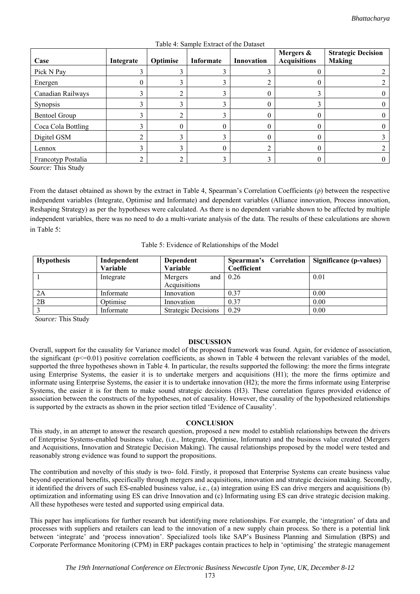| Case                 | Integrate | Optimise | Informate | Innovation | Mergers &<br><b>Acquisitions</b> | <b>Strategic Decision</b><br><b>Making</b> |
|----------------------|-----------|----------|-----------|------------|----------------------------------|--------------------------------------------|
| Pick N Pay           |           |          |           |            |                                  |                                            |
| Energen              |           |          |           |            | 0                                |                                            |
| Canadian Railways    |           |          |           |            |                                  |                                            |
| Synopsis             |           |          |           |            | ◠                                |                                            |
| <b>Bentoel Group</b> |           |          |           |            | 0                                |                                            |
| Coca Cola Bottling   |           |          |           |            | 0                                |                                            |
| Digitel GSM          |           |          |           |            | 0                                |                                            |
| Lennox               |           |          | $_{0}$    |            | 0                                |                                            |
| Francotyp Postalia   |           |          |           |            | 0                                |                                            |

Table 4: Sample Extract of the Dataset

*Source:* This Study

From the dataset obtained as shown by the extract in Table 4, Spearman's Correlation Coefficients (ρ) between the respective independent variables (Integrate, Optimise and Informate) and dependent variables (Alliance innovation, Process innovation, Reshaping Strategy) as per the hypotheses were calculated. As there is no dependent variable shown to be affected by multiple independent variables, there was no need to do a multi-variate analysis of the data. The results of these calculations are shown in Table 5:

Table 5: Evidence of Relationships of the Model

| <b>Hypothesis</b> | Independent<br>Variable | Dependent<br><b>Variable</b> | Spearman's Correlation<br>Coefficient | Significance (p-values) |
|-------------------|-------------------------|------------------------------|---------------------------------------|-------------------------|
|                   | Integrate               | Mergers<br>and               | 0.26                                  | 0.01                    |
|                   |                         | Acquisitions                 |                                       |                         |
| 2A                | Informate               | Innovation                   | 0.37                                  | 0.00                    |
| 2B                | Optimise                | Innovation                   | 0.37                                  | 0.00                    |
|                   | Informate               | <b>Strategic Decisions</b>   | 0.29                                  | 0.00                    |

*Source:* This Study

#### **DISCUSSION**

Overall, support for the causality for Variance model of the proposed framework was found. Again, for evidence of association, the significant  $(p \le 0.01)$  positive correlation coefficients, as shown in Table 4 between the relevant variables of the model, supported the three hypotheses shown in Table 4. In particular, the results supported the following: the more the firms integrate using Enterprise Systems, the easier it is to undertake mergers and acquisitions (H1); the more the firms optimize and informate using Enterprise Systems, the easier it is to undertake innovation (H2); the more the firms informate using Enterprise Systems, the easier it is for them to make sound strategic decisions (H3). These correlation figures provided evidence of association between the constructs of the hypotheses, not of causality. However, the causality of the hypothesized relationships is supported by the extracts as shown in the prior section titled 'Evidence of Causality'.

## **CONCLUSION**

This study, in an attempt to answer the research question, proposed a new model to establish relationships between the drivers of Enterprise Systems-enabled business value, (i.e., Integrate, Optimise, Informate) and the business value created (Mergers and Acquisitions, Innovation and Strategic Decision Making). The causal relationships proposed by the model were tested and reasonably strong evidence was found to support the propositions.

The contribution and novelty of this study is two- fold. Firstly, it proposed that Enterprise Systems can create business value beyond operational benefits, specifically through mergers and acquisitions, innovation and strategic decision making. Secondly, it identified the drivers of such ES-enabled business value, i.e., (a) integration using ES can drive mergers and acquisitions (b) optimization and informating using ES can drive Innovation and (c) Informating using ES can drive strategic decision making. All these hypotheses were tested and supported using empirical data.

This paper has implications for further research but identifying more relationships. For example, the 'integration' of data and processes with suppliers and retailers can lead to the innovation of a new supply chain process. So there is a potential link between 'integrate' and 'process innovation'. Specialized tools like SAP's Business Planning and Simulation (BPS) and Corporate Performance Monitoring (CPM) in ERP packages contain practices to help in 'optimising' the strategic management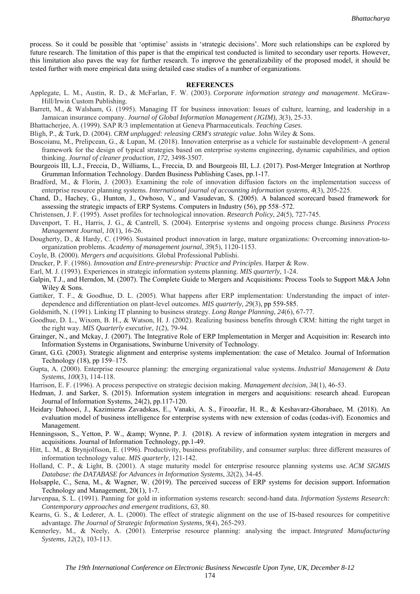process. So it could be possible that 'optimise' assists in 'strategic decisions'. More such relationships can be explored by future research. The limitation of this paper is that the empirical test conducted is limited to secondary user reports. However, this limitation also paves the way for further research. To improve the generalizability of the proposed model, it should be tested further with more empirical data using detailed case studies of a number of organizations.

#### **REFERENCES**

- Applegate, L. M., Austin, R. D., & McFarlan, F. W. (2003). *Corporate information strategy and management*. McGraw-Hill/Irwin Custom Publishing.
- Barrett, M., & Walsham, G. (1995). Managing IT for business innovation: Issues of culture, learning, and leadership in a Jamaican insurance company. *Journal of Global Information Management (JGIM)*, *3*(3), 25-33.
- Bhattacherjee, A. (1999). SAP R/3 implementation at Geneva Pharmaceuticals. *Teaching Cases*.
- Bligh, P., & Turk, D. (2004). *CRM unplugged: releasing CRM's strategic value*. John Wiley & Sons.
- Boscoianu, M., Prelipcean, G., & Lupan, M. (2018). Innovation enterprise as a vehicle for sustainable development–A general framework for the design of typical strategies based on enterprise systems engineering, dynamic capabilities, and option thinking. *Journal of cleaner production*, *172*, 3498-3507.
- Bourgeois III, L.J., Freccia, D., Williams, L., Freccia, D. and Bourgeois III, L.J. (2017). Post-Merger Integration at Northrop Grumman Information Technology. Darden Business Publishing Cases, pp.1-17.
- Bradford, M., & Florin, J. (2003). Examining the role of innovation diffusion factors on the implementation success of enterprise resource planning systems. *International journal of accounting information systems*, *4*(3), 205-225.
- Chand, D., Hachey, G., Hunton, J., Owhoso, V., and Vasudevan, S. (2005). A balanced scorecard based framework for assessing the strategic impacts of ERP Systems. Computers in Industry (56), pp 558–572.
- Christensen, J. F. (1995). Asset profiles for technological innovation. *Research Policy*, *24*(5), 727-745.
- Davenport, T. H., Harris, J. G., & Cantrell, S. (2004). Enterprise systems and ongoing process change. *Business Process Management Journal*, *10*(1), 16-26.
- Dougherty, D., & Hardy, C. (1996). Sustained product innovation in large, mature organizations: Overcoming innovation-toorganization problems. *Academy of management journal*, *39*(5), 1120-1153.
- Coyle, B. (2000). *Mergers and acquisitions*. Global Professional Publishi.
- Drucker, P. F. (1986). *Innovation and Entre-preneurship: Practice and Principles*. Harper & Row.
- Earl, M. J. (1993). Experiences in strategic information systems planning. *MIS quarterly*, 1-24.
- Galpin, T.J., and Herndon, M. (2007). The Complete Guide to Mergers and Acquisitions: Process Tools to Support M&A John Wiley & Sons.
- Gattiker, T. F., & Goodhue, D. L. (2005). What happens after ERP implementation: Understanding the impact of interdependence and differentiation on plant-level outcomes. *MIS quarterly*, *29*(3), pp 559-585.
- Goldsmith, N. (1991). Linking IT planning to business strategy. *Long Range Planning*, *24*(6), 67-77.
- Goodhue, D. L., Wixom, B. H., & Watson, H. J. (2002). Realizing business benefits through CRM: hitting the right target in the right way. *MIS Quarterly executive*, *1*(2), 79-94.
- Grainger, N., and Mckay, J. (2007). The Integrative Role of ERP Implementation in Merger and Acquisition in: Research into Information Systems in Organisations, Swinburne University of Technology.
- Grant, G.G. (2003). Strategic alignment and enterprise systems implementation: the case of Metalco. Journal of Information Technology (18), pp 159–175.
- Gupta, A. (2000). Enterprise resource planning: the emerging organizational value systems. *Industrial Management & Data Systems*, *100*(3), 114-118.
- Harrison, E. F. (1996). A process perspective on strategic decision making. *Management decision*, *34*(1), 46-53.
- Hedman, J. and Sarker, S. (2015). Information system integration in mergers and acquisitions: research ahead. European Journal of Information Systems, 24(2), pp.117-120.
- Heidary Dahooei, J., Kazimieras Zavadskas, E., Vanaki, A. S., Firoozfar, H. R., & Keshavarz-Ghorabaee, M. (2018). An evaluation model of business intelligence for enterprise systems with new extension of codas (codas-ivif). Economics and Management.
- Henningsson, S., Yetton, P. W., & amp; Wynne, P. J. (2018). A review of information system integration in mergers and acquisitions. Journal of Information Technology, pp.1-49.
- Hitt, L. M., & Brynjolfsson, E. (1996). Productivity, business profitability, and consumer surplus: three different measures of information technology value. *MIS quarterly*, 121-142.
- Holland, C. P., & Light, B. (2001). A stage maturity model for enterprise resource planning systems use. *ACM SIGMIS Database: the DATABASE for Advances in Information Systems*, *32*(2), 34-45.
- Holsapple, C., Sena, M., & Wagner, W. (2019). The perceived success of ERP systems for decision support. Information Technology and Management, 20(1), 1-7.
- Jarvenpaa, S. L. (1991). Panning for gold in information systems research: second-hand data. *Information Systems Research: Contemporary approaches and emergent traditions*, *63*, 80.
- Kearns, G. S., & Lederer, A. L. (2000). The effect of strategic alignment on the use of IS-based resources for competitive advantage. *The Journal of Strategic Information Systems*, *9*(4), 265-293.
- Kennerley, M., & Neely, A. (2001). Enterprise resource planning: analysing the impact. *Integrated Manufacturing Systems*, *12*(2), 103-113.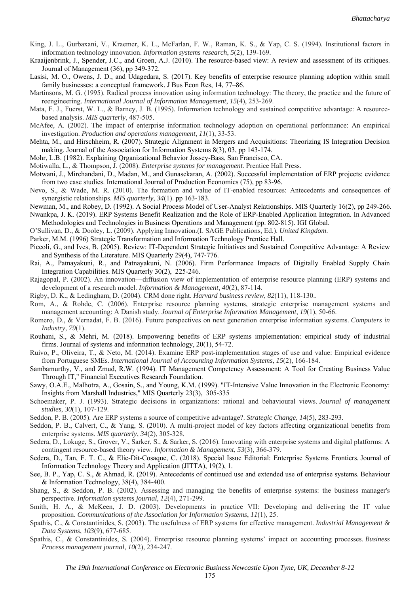- King, J. L., Gurbaxani, V., Kraemer, K. L., McFarlan, F. W., Raman, K. S., & Yap, C. S. (1994). Institutional factors in information technology innovation. *Information systems research*, *5*(2), 139-169.
- Kraaijenbrink, J., Spender, J.C., and Groen, A.J. (2010). The resource-based view: A review and assessment of its critiques. Journal of Management (36), pp 349-372.
- Lasisi, M. O., Owens, J. D., and Udagedara, S. (2017). Key benefits of enterprise resource planning adoption within small family businesses: a conceptual framework. J Bus Econ Res, 14, 77–86.
- Martinsons, M. G. (1995). Radical process innovation using information technology: The theory, the practice and the future of reengineering. *International Journal of Information Management*, *15*(4), 253-269.
- Mata, F. J., Fuerst, W. L., & Barney, J. B. (1995). Information technology and sustained competitive advantage: A resourcebased analysis. *MIS quarterly*, 487-505.
- McAfee, A. (2002). The impact of enterprise information technology adoption on operational performance: An empirical investigation. *Production and operations management*, *11*(1), 33-53.
- Mehta, M., and Hirschheim, R. (2007). Strategic Alignment in Mergers and Acquisitions: Theorizing IS Integration Decision making. Journal of the Association for Information Systems 8(3), 03, pp 143-174.
- Mohr, L.B. (1982). Explaining Qrganizational Behavior Jossey-Bass, San Francisco, CA.
- Motiwalla, L., & Thompson, J. (2008). *Enterprise systems for management*. Prentice Hall Press.
- Motwani, J., Mirchandani, D., Madan, M., and Gunasekaran, A. (2002). Successful implementation of ERP projects: evidence from two case studies. International Journal of Production Economics (75), pp 83-96.
- Nevo, S., & Wade, M. R. (2010). The formation and value of IT-enabled resources: Antecedents and consequences of synergistic relationships. *MIS quarterly*, *34*(1). pp 163-183.
- Newman, M., and Robey, D. (1992). A Social Process Model of User-Analyst Relationships. MIS Quarterly 16(2), pp 249-266. Nwankpa, J. K. (2019). ERP Systems Benefit Realization and the Role of ERP-Enabled Application Integration. In Advanced
- Methodologies and Technologies in Business Operations and Management (pp. 802-815). IGI Global.
- O'Sullivan, D., & Dooley, L. (2009). Applying Innovation.(I. SAGE Publications, Ed.). *United Kingdom*.
- Parker, M.M. (1996) Strategic Transformation and Information Technology Prentice Hall.
- Piccoli, G., and Ives, B. (2005). Review: IT-Dependent Strategic Initiatives and Sustained Competitive Advantage: A Review and Synthesis of the Literature. MIS Quarterly 29(4), 747-776.
- Rai, A., Patnayakuni, R., and Patnayakuni, N. (2006). Firm Performance Impacts of Digitally Enabled Supply Chain Integration Capabilities. MIS Quarterly 30(2), 225-246.
- Rajagopal, P. (2002). An innovation—diffusion view of implementation of enterprise resource planning (ERP) systems and development of a research model. *Information & Management*, *40*(2), 87-114.
- Rigby, D. K., & Ledingham, D. (2004). CRM done right. *Harvard business review*, *82*(11), 118-130..
- Rom, A., & Rohde, C. (2006). Enterprise resource planning systems, strategic enterprise management systems and management accounting: A Danish study. *Journal of Enterprise Information Management*, *19*(1), 50-66.
- Romero, D., & Vernadat, F. B. (2016). Future perspectives on next generation enterprise information systems. *Computers in Industry*, *79*(1).
- Rouhani, S., & Mehri, M. (2018). Empowering benefits of ERP systems implementation: empirical study of industrial firms. Journal of systems and information technology, 20(1), 54-72.
- Ruivo, P., Oliveira, T., & Neto, M. (2014). Examine ERP post-implementation stages of use and value: Empirical evidence from Portuguese SMEs. *International Journal of Accounting Information Systems*, *15*(2), 166-184.
- Sambamurthy, V., and Zmud, R.W. (1994). IT Management Competency Assessment: A Tool for Creating Business Value Through IT," Financial Executives Research Foundation.
- Sawy, O.A.E., Malhotra, A., Gosain, S., and Young, K.M. (1999). "IT-Intensive Value Innovation in the Electronic Economy: Insights from Marshall Industries," MIS Quarterly 23(3), 305-335
- Schoemaker, P. J. (1993). Strategic decisions in organizations: rational and behavioural views. *Journal of management studies*, *30*(1), 107-129.
- Seddon, P. B. (2005). Are ERP systems a source of competitive advantage?. *Strategic Change*, *14*(5), 283-293.
- Seddon, P. B., Calvert, C., & Yang, S. (2010). A multi-project model of key factors affecting organizational benefits from enterprise systems. *MIS quarterly*, *34*(2), 305-328.
- Sedera, D., Lokuge, S., Grover, V., Sarker, S., & Sarker, S. (2016). Innovating with enterprise systems and digital platforms: A contingent resource-based theory view. *Information & Management*, *53*(3), 366-379.
- Sedera, D., Tan, F. T. C., & Elie-Dit-Cosaque, C. (2018). Special Issue Editorial: Enterprise Systems Frontiers. Journal of Information Technology Theory and Application (JITTA), 19(2), 1.
- See, B. P., Yap, C. S., & Ahmad, R. (2019). Antecedents of continued use and extended use of enterprise systems. Behaviour & Information Technology, 38(4), 384-400.
- Shang, S., & Seddon, P. B. (2002). Assessing and managing the benefits of enterprise systems: the business manager's perspective. *Information systems journal*, *12*(4), 271-299.
- Smith, H. A., & McKeen, J. D. (2003). Developments in practice VII: Developing and delivering the IT value proposition. *Communications of the Association for Information Systems*, *11*(1), 25.
- Spathis, C., & Constantinides, S. (2003). The usefulness of ERP systems for effective management. *Industrial Management & Data Systems*, *103*(9), 677-685.
- Spathis, C., & Constantinides, S. (2004). Enterprise resource planning systems' impact on accounting processes. *Business Process management journal*, *10*(2), 234-247.

175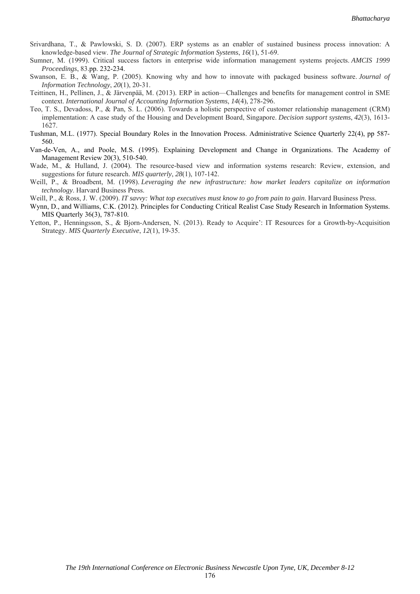- Srivardhana, T., & Pawlowski, S. D. (2007). ERP systems as an enabler of sustained business process innovation: A knowledge-based view. *The Journal of Strategic Information Systems*, *16*(1), 51-69.
- Sumner, M. (1999). Critical success factors in enterprise wide information management systems projects. *AMCIS 1999 Proceedings*, 83.pp. 232-234.
- Swanson, E. B., & Wang, P. (2005). Knowing why and how to innovate with packaged business software. *Journal of Information Technology*, *20*(1), 20-31.
- Teittinen, H., Pellinen, J., & Järvenpää, M. (2013). ERP in action—Challenges and benefits for management control in SME context. *International Journal of Accounting Information Systems*, *14*(4), 278-296.
- Teo, T. S., Devadoss, P., & Pan, S. L. (2006). Towards a holistic perspective of customer relationship management (CRM) implementation: A case study of the Housing and Development Board, Singapore. *Decision support systems*, *42*(3), 1613- 1627.
- Tushman, M.L. (1977). Special Boundary Roles in the Innovation Process. Administrative Science Quarterly 22(4), pp 587- 560.
- Van-de-Ven, A., and Poole, M.S. (1995). Explaining Development and Change in Organizations. The Academy of Management Review 20(3), 510-540.
- Wade, M., & Hulland, J. (2004). The resource-based view and information systems research: Review, extension, and suggestions for future research. *MIS quarterly*, *28*(1), 107-142.
- Weill, P., & Broadbent, M. (1998). *Leveraging the new infrastructure: how market leaders capitalize on information technology*. Harvard Business Press.
- Weill, P., & Ross, J. W. (2009). *IT savvy: What top executives must know to go from pain to gain*. Harvard Business Press.
- Wynn, D., and Williams, C.K. (2012). Principles for Conducting Critical Realist Case Study Research in Information Systems. MIS Quarterly 36(3), 787-810.
- Yetton, P., Henningsson, S., & Bjorn-Andersen, N. (2013). Ready to Acquire': IT Resources for a Growth-by-Acquisition Strategy. *MIS Quarterly Executive*, *12*(1), 19-35.